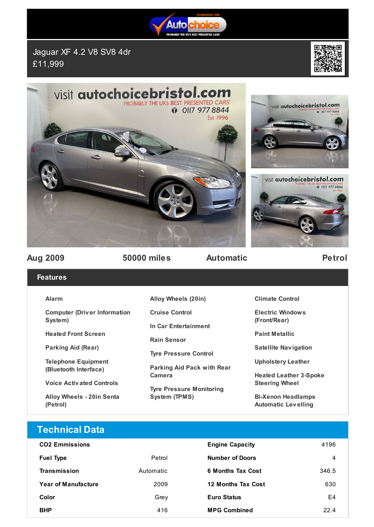

Jaguar XF 4.2 V8 SV8 4dr £11,999



**BEST PRESENTED CARS**<br>**1** OII7 977 8844





visit autochoicebristol.com



**Aug 2009 50000 miles Automatic Petrol**

## **Features**

### **Alarm**

**Computer (Driv er Information System)**

**Heated Front Screen**

**Parking Aid (Rear)**

**Telephone Equipment (Bluetooth Interface)**

**Voice Activ ated Controls**

**Alloy Wheels - 20in Senta (Petrol)**

**Alloy Wheels (20in)**

**Cruise Control**

**In Car Entertainment**

**Rain Sensor**

**Tyre Pressure Control**

**Parking Aid Pack with Rear Camera**

**Tyre Pressure Monitoring System (TPMS)**

**Climate Control**

**Electric Windows (Front/Rear)**

**Paint Metallic**

**Satellite Nav igation**

**Upholstery Leather**

**Heated Leather 3-Spoke Steering Wheel**

**Bi-Xenon Headlamps Automatic Lev elling**

# **Technical Data**

| <b>CO2 Emmissions</b>      |           | <b>Engine Capacity</b>   | 4196  |
|----------------------------|-----------|--------------------------|-------|
| <b>Fuel Type</b>           | Petrol    | <b>Number of Doors</b>   | 4     |
| Transmission               | Automatic | <b>6 Months Tax Cost</b> | 346.5 |
| <b>Year of Manufacture</b> | 2009      | 12 Months Tax Cost       | 630   |
| Color                      | Grev      | <b>Euro Status</b>       | E4    |
| <b>BHP</b>                 | 416       | <b>MPG Combined</b>      | 224   |